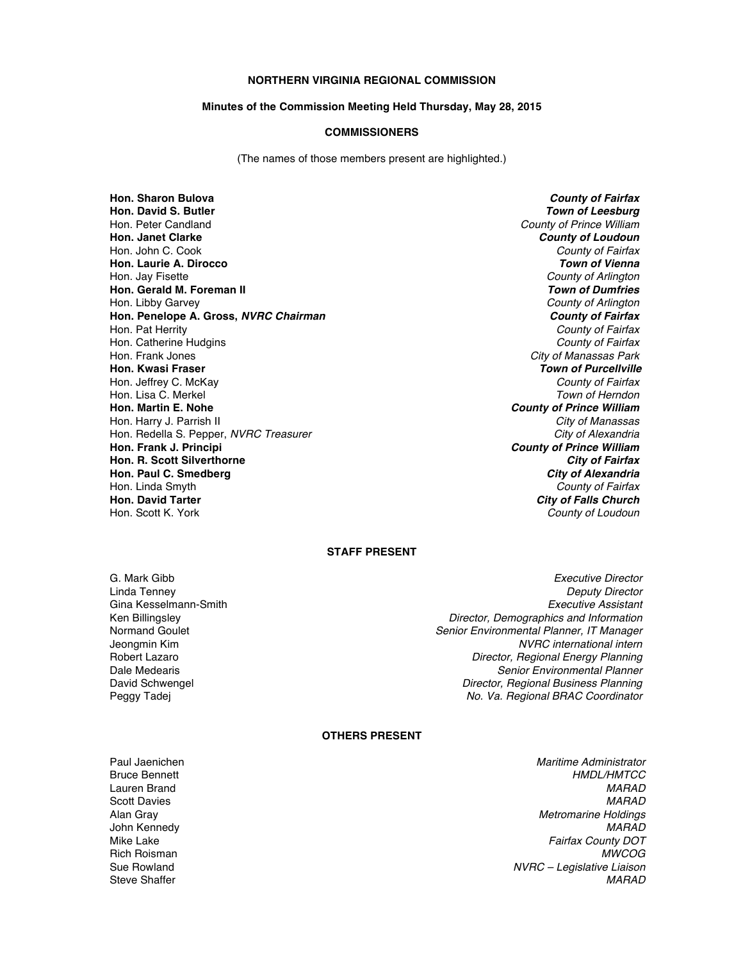### **NORTHERN VIRGINIA REGIONAL COMMISSION**

#### **Minutes of the Commission Meeting Held Thursday, May 28, 2015**

### **COMMISSIONERS**

(The names of those members present are highlighted.)

**Hon. Sharon Bulova** *County of Fairfax* **Hon. David S. Butler** *Town of Leesburg* Hon. Peter Candland *County of Prince William* **Hon. Janet Clarke** *County of Loudoun* Hon. John C. Cook *County of Fairfax* **Hon. Laurie A. Dirocco** *Town of Vienna* Hon. Jay Fisette *County of Arlington* **Hon. Gerald M. Foreman II** *Town of Dumfries* Hon. Libby Garvey *County of Arlington* **Hon. Penelope A. Gross,** *NVRC Chairman County of Fairfax* Hon. Pat Herrity *County of Fairfax* Hon. Catherine Hudgins *County of Fairfax* Hon. Frank Jones *City of Manassas Park* **Hon. Kwasi Fraser** *Town of Purcellville* Hon. Jeffrey C. McKay *County of Fairfax* Hon. Lisa C. Merkel **Hon. Martin E. Nohe** *County of Prince William* Hon. Harry J. Parrish II *City of Manassas* Hon. Redella S. Pepper, *NVRC Treasurer* City of Alexandria City of Alexandria **Hon. Frank J. Principi** *County of Prince William* **Hon. R. Scott Silverthorne** *City of Fairfax* **Hon. Paul C. Smedberg** *City of Alexandria* Hon. Linda Smyth *County of Fairfax* **Hon. David Tarter** *City of Falls Church*

**County of Loudoun** 

# **STAFF PRESENT**

G. Mark Gibb *Executive Director*

Linda Tenney *Deputy Director* Gina Kesselmann-Smith *Executive Assistant* Ken Billingsley *Director, Demographics and Information* Normand Goulet *Senior Environmental Planner, IT Manager* Jeongmin Kim *NVRC international intern* Robert Lazaro *Director, Regional Energy Planning* Dale Medearis *Senior Environmental Planner* David Schwengel *Director, Regional Business Planning* Peggy Tadej *No. Va. Regional BRAC Coordinator*

## **OTHERS PRESENT**

Paul Jaenichen *Maritime Administrator* Bruce Bennett *HMDL/HMTCC* Lauren Brand *MARAD* Scott Davies *MARAD* Alan Gray *Metromarine Holdings* John Kennedy *MARAD* **Fairfax County DOT** Rich Roisman *MWCOG* Sue Rowland *NVRC – Legislative Liaison* Steve Shaffer *MARAD*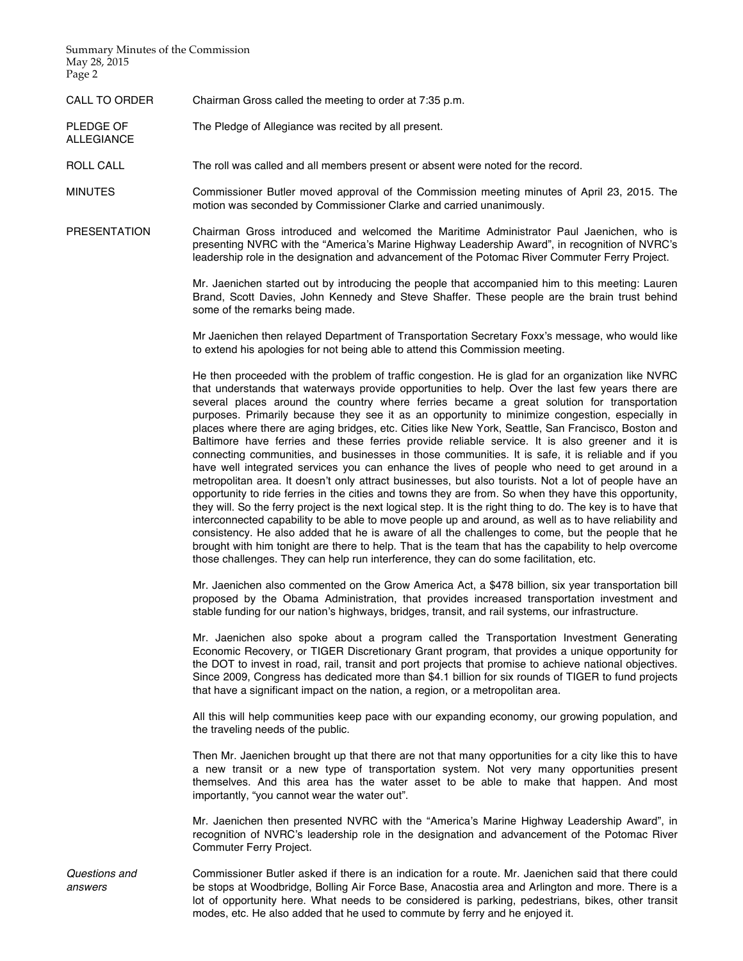Summary Minutes of the Commission May 28, 2015 Page 2

ALLEGIANCE

CALL TO ORDER Chairman Gross called the meeting to order at 7:35 p.m.

PLEDGE OF The Pledge of Allegiance was recited by all present.

ROLL CALL The roll was called and all members present or absent were noted for the record.

MINUTES Commissioner Butler moved approval of the Commission meeting minutes of April 23, 2015. The motion was seconded by Commissioner Clarke and carried unanimously.

PRESENTATION Chairman Gross introduced and welcomed the Maritime Administrator Paul Jaenichen, who is presenting NVRC with the "America's Marine Highway Leadership Award", in recognition of NVRC's leadership role in the designation and advancement of the Potomac River Commuter Ferry Project.

> Mr. Jaenichen started out by introducing the people that accompanied him to this meeting: Lauren Brand, Scott Davies, John Kennedy and Steve Shaffer. These people are the brain trust behind some of the remarks being made.

> Mr Jaenichen then relayed Department of Transportation Secretary Foxx's message, who would like to extend his apologies for not being able to attend this Commission meeting.

> He then proceeded with the problem of traffic congestion. He is glad for an organization like NVRC that understands that waterways provide opportunities to help. Over the last few years there are several places around the country where ferries became a great solution for transportation purposes. Primarily because they see it as an opportunity to minimize congestion, especially in places where there are aging bridges, etc. Cities like New York, Seattle, San Francisco, Boston and Baltimore have ferries and these ferries provide reliable service. It is also greener and it is connecting communities, and businesses in those communities. It is safe, it is reliable and if you have well integrated services you can enhance the lives of people who need to get around in a metropolitan area. It doesn't only attract businesses, but also tourists. Not a lot of people have an opportunity to ride ferries in the cities and towns they are from. So when they have this opportunity, they will. So the ferry project is the next logical step. It is the right thing to do. The key is to have that interconnected capability to be able to move people up and around, as well as to have reliability and consistency. He also added that he is aware of all the challenges to come, but the people that he brought with him tonight are there to help. That is the team that has the capability to help overcome those challenges. They can help run interference, they can do some facilitation, etc.

> Mr. Jaenichen also commented on the Grow America Act, a \$478 billion, six year transportation bill proposed by the Obama Administration, that provides increased transportation investment and stable funding for our nation's highways, bridges, transit, and rail systems, our infrastructure.

> Mr. Jaenichen also spoke about a program called the Transportation Investment Generating Economic Recovery, or TIGER Discretionary Grant program, that provides a unique opportunity for the DOT to invest in road, rail, transit and port projects that promise to achieve national objectives. Since 2009, Congress has dedicated more than \$4.1 billion for six rounds of TIGER to fund projects that have a significant impact on the nation, a region, or a metropolitan area.

> All this will help communities keep pace with our expanding economy, our growing population, and the traveling needs of the public.

> Then Mr. Jaenichen brought up that there are not that many opportunities for a city like this to have a new transit or a new type of transportation system. Not very many opportunities present themselves. And this area has the water asset to be able to make that happen. And most importantly, "you cannot wear the water out".

> Mr. Jaenichen then presented NVRC with the "America's Marine Highway Leadership Award", in recognition of NVRC's leadership role in the designation and advancement of the Potomac River Commuter Ferry Project.

Commissioner Butler asked if there is an indication for a route. Mr. Jaenichen said that there could be stops at Woodbridge, Bolling Air Force Base, Anacostia area and Arlington and more. There is a lot of opportunity here. What needs to be considered is parking, pedestrians, bikes, other transit modes, etc. He also added that he used to commute by ferry and he enjoyed it.

*Questions and answers*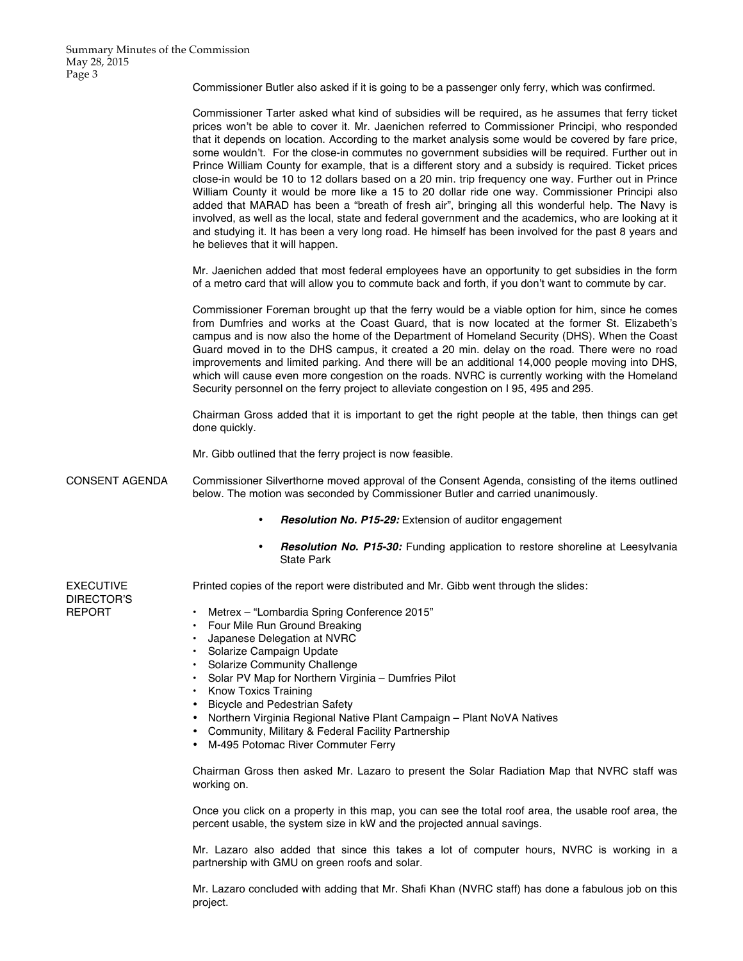Commissioner Butler also asked if it is going to be a passenger only ferry, which was confirmed.

Commissioner Tarter asked what kind of subsidies will be required, as he assumes that ferry ticket prices won't be able to cover it. Mr. Jaenichen referred to Commissioner Principi, who responded that it depends on location. According to the market analysis some would be covered by fare price, some wouldn't. For the close-in commutes no government subsidies will be required. Further out in Prince William County for example, that is a different story and a subsidy is required. Ticket prices close-in would be 10 to 12 dollars based on a 20 min. trip frequency one way. Further out in Prince William County it would be more like a 15 to 20 dollar ride one way. Commissioner Principi also added that MARAD has been a "breath of fresh air", bringing all this wonderful help. The Navy is involved, as well as the local, state and federal government and the academics, who are looking at it and studying it. It has been a very long road. He himself has been involved for the past 8 years and he believes that it will happen.

Mr. Jaenichen added that most federal employees have an opportunity to get subsidies in the form of a metro card that will allow you to commute back and forth, if you don't want to commute by car.

Commissioner Foreman brought up that the ferry would be a viable option for him, since he comes from Dumfries and works at the Coast Guard, that is now located at the former St. Elizabeth's campus and is now also the home of the Department of Homeland Security (DHS). When the Coast Guard moved in to the DHS campus, it created a 20 min. delay on the road. There were no road improvements and limited parking. And there will be an additional 14,000 people moving into DHS, which will cause even more congestion on the roads. NVRC is currently working with the Homeland Security personnel on the ferry project to alleviate congestion on I 95, 495 and 295.

Chairman Gross added that it is important to get the right people at the table, then things can get done quickly.

Mr. Gibb outlined that the ferry project is now feasible.

- CONSENT AGENDA Commissioner Silverthorne moved approval of the Consent Agenda, consisting of the items outlined below. The motion was seconded by Commissioner Butler and carried unanimously.
	- *Resolution No. P15-29:* Extension of auditor engagement
	- *Resolution No. P15-30:* Funding application to restore shoreline at Leesylvania State Park

EXECUTIVE DIRECTOR'S REPORT Printed copies of the report were distributed and Mr. Gibb went through the slides: • Metrex – "Lombardia Spring Conference 2015" • Four Mile Run Ground Breaking

- Japanese Delegation at NVRC
- Solarize Campaign Update
- Solarize Community Challenge
- Solar PV Map for Northern Virginia Dumfries Pilot
- Know Toxics Training
- Bicycle and Pedestrian Safety
- Northern Virginia Regional Native Plant Campaign Plant NoVA Natives
- Community, Military & Federal Facility Partnership
- M-495 Potomac River Commuter Ferry

Chairman Gross then asked Mr. Lazaro to present the Solar Radiation Map that NVRC staff was working on.

Once you click on a property in this map, you can see the total roof area, the usable roof area, the percent usable, the system size in kW and the projected annual savings.

Mr. Lazaro also added that since this takes a lot of computer hours, NVRC is working in a partnership with GMU on green roofs and solar.

Mr. Lazaro concluded with adding that Mr. Shafi Khan (NVRC staff) has done a fabulous job on this project.